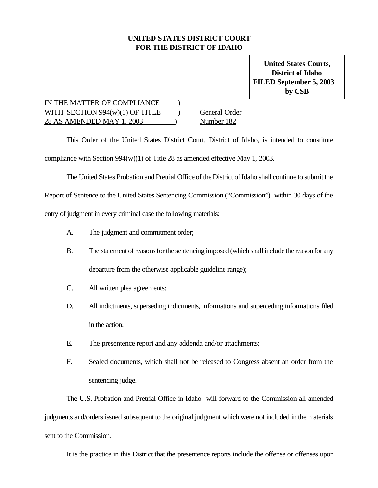## **UNITED STATES DISTRICT COURT FOR THE DISTRICT OF IDAHO**

**United States Courts, District of Idaho FILED September 5, 2003 by CSB**

## IN THE MATTER OF COMPLIANCE  $\qquad$  ) WITH SECTION  $994(w)(1)$  OF TITLE General Order 28 AS AMENDED MAY 1, 2003 ) Number 182

This Order of the United States District Court, District of Idaho, is intended to constitute compliance with Section 994(w)(1) of Title 28 as amended effective May 1, 2003.

The United States Probation and Pretrial Office of the District of Idaho shall continue to submit the

Report of Sentence to the United States Sentencing Commission ("Commission") within 30 days of the

entry of judgment in every criminal case the following materials:

- A. The judgment and commitment order;
- B. The statement of reasons for the sentencing imposed (which shall include the reason for any departure from the otherwise applicable guideline range);
- C. All written plea agreements:
- D. All indictments, superseding indictments, informations and superceding informations filed in the action;
- E. The presentence report and any addenda and/or attachments;
- F. Sealed documents, which shall not be released to Congress absent an order from the sentencing judge.

The U.S. Probation and Pretrial Office in Idaho will forward to the Commission all amended judgments and/orders issued subsequent to the original judgment which were not included in the materials sent to the Commission.

It is the practice in this District that the presentence reports include the offense or offenses upon